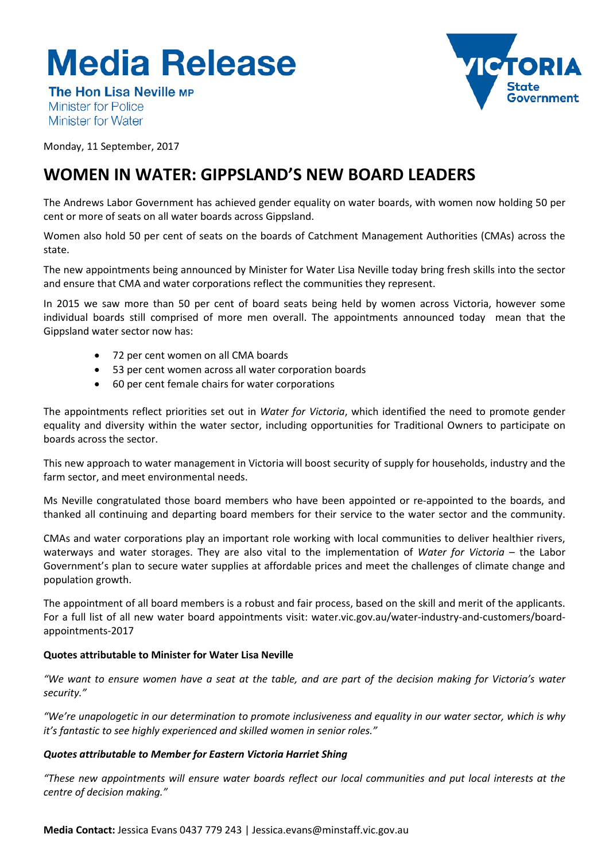# **Media Release**



**The Hon Lisa Neville MP Minister for Police** Minister for Water

Monday, 11 September, 2017

# **WOMEN IN WATER: GIPPSLAND'S NEW BOARD LEADERS**

The Andrews Labor Government has achieved gender equality on water boards, with women now holding 50 per cent or more of seats on all water boards across Gippsland.

Women also hold 50 per cent of seats on the boards of Catchment Management Authorities (CMAs) across the state.

The new appointments being announced by Minister for Water Lisa Neville today bring fresh skills into the sector and ensure that CMA and water corporations reflect the communities they represent.

In 2015 we saw more than 50 per cent of board seats being held by women across Victoria, however some individual boards still comprised of more men overall. The appointments announced today mean that the Gippsland water sector now has:

- 72 per cent women on all CMA boards
- 53 per cent women across all water corporation boards
- 60 per cent female chairs for water corporations

The appointments reflect priorities set out in *Water for Victoria*, which identified the need to promote gender equality and diversity within the water sector, including opportunities for Traditional Owners to participate on boards across the sector.

This new approach to water management in Victoria will boost security of supply for households, industry and the farm sector, and meet environmental needs.

Ms Neville congratulated those board members who have been appointed or re-appointed to the boards, and thanked all continuing and departing board members for their service to the water sector and the community.

CMAs and water corporations play an important role working with local communities to deliver healthier rivers, waterways and water storages. They are also vital to the implementation of *Water for Victoria* – the Labor Government's plan to secure water supplies at affordable prices and meet the challenges of climate change and population growth.

The appointment of all board members is a robust and fair process, based on the skill and merit of the applicants. For a full list of all new water board appointments visit: water.vic.gov.au/water-industry-and-customers/boardappointments-2017

## **Quotes attributable to Minister for Water Lisa Neville**

*"We want to ensure women have a seat at the table, and are part of the decision making for Victoria's water security."*

*"We're unapologetic in our determination to promote inclusiveness and equality in our water sector, which is why it's fantastic to see highly experienced and skilled women in senior roles."* 

## *Quotes attributable to Member for Eastern Victoria Harriet Shing*

*"These new appointments will ensure water boards reflect our local communities and put local interests at the centre of decision making."*